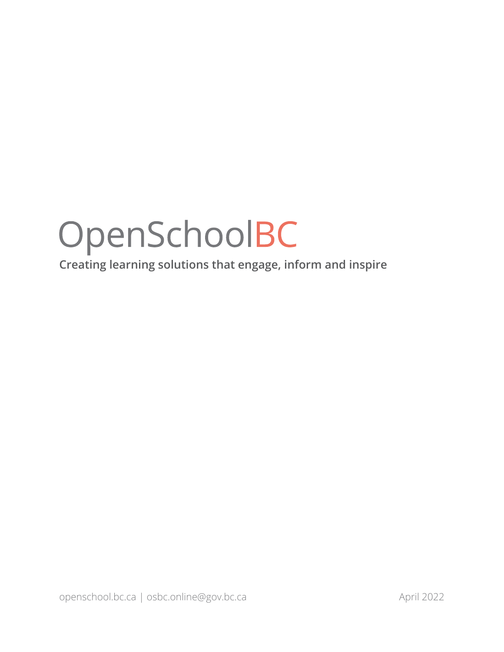**Creating learning solutions that engage, inform and inspire**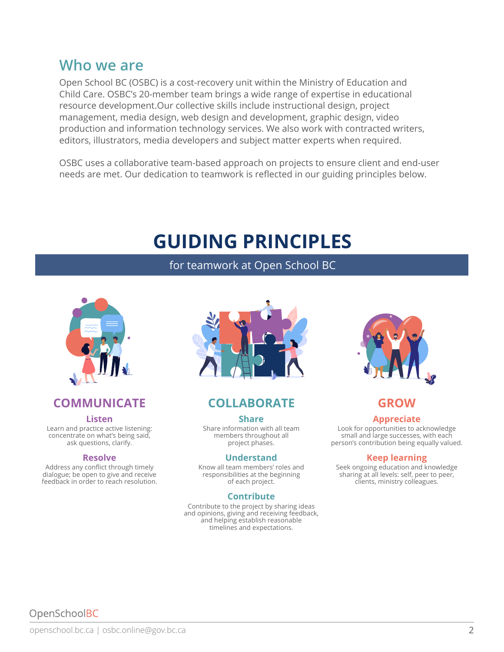## **Who we are**

Open School BC (OSBC) is a cost-recovery unit within the Ministry of Education and Child Care. OSBC's 20-member team brings a wide range of expertise in educational resource development.Our collective skills include instructional design, project management, media design, web design and development, graphic design, video production and information technology services. We also work with contracted writers, editors, illustrators, media developers and subject matter experts when required.

OSBC uses a collaborative team-based approach on projects to ensure client and end-user needs are met. Our dedication to teamwork is reflected in our guiding principles below.

# **GUIDING PRINCIPLES**

for teamwork at Open School BC



#### **COMMUNICATE COLLABORATE GROW**

#### **Listen**

Learn and practice active listening: concentrate on what's being said, ask questions, clarify.

#### **Resolve**

Address any conflict through timely dialogue; be open to give and receive feedback in order to reach resolution.



#### **COLLABORATE**

#### **Share**

Share information with all team members throughout all project phases.

#### **Understand**

Know all team members' roles and responsibilities at the beginning of each project.

#### **Contribute**

Contribute to the project by sharing ideas and opinions, giving and receiving feedback, and helping establish reasonable timelines and expectations.



#### **Appreciate**

Look for opportunities to acknowledge small and large successes, with each person's contribution being equally valued.

#### **Keep learning**

Seek ongoing education and knowledge sharing at all levels: self, peer to peer, clients, ministry colleagues.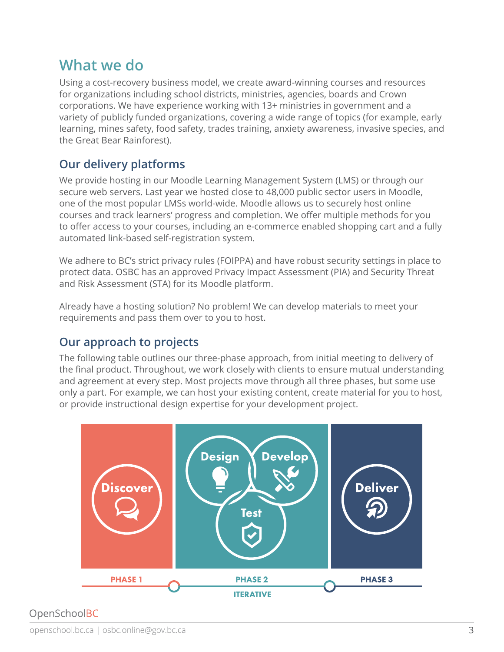## **What we do**

Using a cost-recovery business model, we create award-winning courses and resources for organizations including school districts, ministries, agencies, boards and Crown corporations. We have experience working with 13+ ministries in government and a variety of publicly funded organizations, covering a wide range of topics (for example, early learning, mines safety, food safety, trades training, anxiety awareness, invasive species, and the Great Bear Rainforest).

### **Our delivery platforms**

We provide hosting in our Moodle Learning Management System (LMS) or through our secure web servers. Last year we hosted close to 48,000 public sector users in Moodle, one of the most popular LMSs world-wide. Moodle allows us to securely host online courses and track learners' progress and completion. We offer multiple methods for you to offer access to your courses, including an e-commerce enabled shopping cart and a fully automated link-based self-registration system.

We adhere to BC's strict privacy rules (FOIPPA) and have robust security settings in place to protect data. OSBC has an approved Privacy Impact Assessment (PIA) and Security Threat and Risk Assessment (STA) for its Moodle platform.

Already have a hosting solution? No problem! We can develop materials to meet your requirements and pass them over to you to host.

### **Our approach to projects**

The following table outlines our three-phase approach, from initial meeting to delivery of the final product. Throughout, we work closely with clients to ensure mutual understanding and agreement at every step. Most projects move through all three phases, but some use only a part. For example, we can host your existing content, create material for you to host, or provide instructional design expertise for your development project.

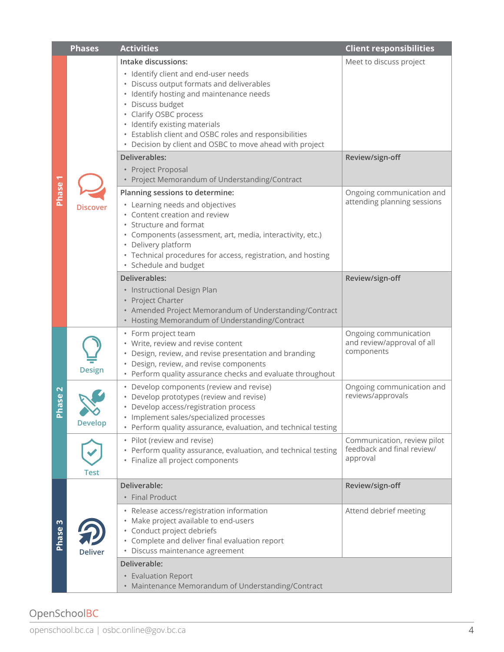|                                          | <b>Phases</b>  | <b>Activities</b>                                                                                                                                                                                                                                                                                                                                                             | <b>Client responsibilities</b>                                        |
|------------------------------------------|----------------|-------------------------------------------------------------------------------------------------------------------------------------------------------------------------------------------------------------------------------------------------------------------------------------------------------------------------------------------------------------------------------|-----------------------------------------------------------------------|
| <b>Phase</b>                             | Discover       | Intake discussions:<br>· Identify client and end-user needs<br>Discuss output formats and deliverables<br>• Identify hosting and maintenance needs<br>· Discuss budget<br>• Clarify OSBC process<br>• Identify existing materials<br>Establish client and OSBC roles and responsibilities<br>$\bullet$<br>Decision by client and OSBC to move ahead with project<br>$\bullet$ | Meet to discuss project                                               |
|                                          |                | Deliverables:<br>• Project Proposal<br>• Project Memorandum of Understanding/Contract                                                                                                                                                                                                                                                                                         | Review/sign-off                                                       |
|                                          |                | Planning sessions to determine:<br>• Learning needs and objectives<br>• Content creation and review<br>Structure and format<br>· Components (assessment, art, media, interactivity, etc.)<br>• Delivery platform<br>• Technical procedures for access, registration, and hosting<br>· Schedule and budget                                                                     | Ongoing communication and<br>attending planning sessions              |
|                                          |                | Deliverables:<br>• Instructional Design Plan<br>• Project Charter<br>• Amended Project Memorandum of Understanding/Contract<br>Hosting Memorandum of Understanding/Contract                                                                                                                                                                                                   | Review/sign-off                                                       |
| $\mathbf{\Omega}$<br>ase<br>$\mathbf{a}$ | <b>Design</b>  | • Form project team<br>• Write, review and revise content<br>Design, review, and revise presentation and branding<br>• Design, review, and revise components<br>• Perform quality assurance checks and evaluate throughout                                                                                                                                                    | Ongoing communication<br>and review/approval of all<br>components     |
|                                          | <b>Develop</b> | • Develop components (review and revise)<br>Develop prototypes (review and revise)<br>Develop access/registration process<br>· Implement sales/specialized processes<br>• Perform quality assurance, evaluation, and technical testing                                                                                                                                        | Ongoing communication and<br>reviews/approvals                        |
|                                          | Test           | Pilot (review and revise)<br>Perform quality assurance, evaluation, and technical testing<br>$\bullet$<br>Finalize all project components<br>$\bullet$                                                                                                                                                                                                                        | Communication, review pilot<br>feedback and final review/<br>approval |
| m<br><b>Phase</b>                        | <b>Deliver</b> | Deliverable:<br>• Final Product                                                                                                                                                                                                                                                                                                                                               | Review/sign-off                                                       |
|                                          |                | • Release access/registration information<br>• Make project available to end-users<br>· Conduct project debriefs<br>• Complete and deliver final evaluation report<br>· Discuss maintenance agreement                                                                                                                                                                         | Attend debrief meeting                                                |
|                                          |                | Deliverable:<br>• Evaluation Report<br>• Maintenance Memorandum of Understanding/Contract                                                                                                                                                                                                                                                                                     |                                                                       |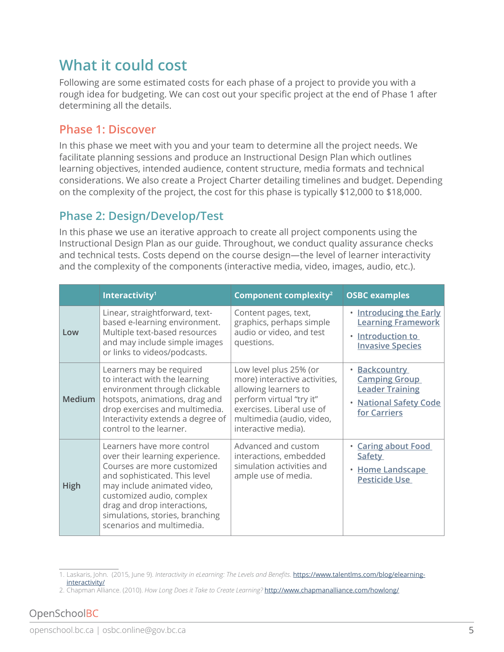# **What it could cost**

Following are some estimated costs for each phase of a project to provide you with a rough idea for budgeting. We can cost out your specific project at the end of Phase 1 after determining all the details.

#### **Phase 1: Discover**

In this phase we meet with you and your team to determine all the project needs. We facilitate planning sessions and produce an Instructional Design Plan which outlines learning objectives, intended audience, content structure, media formats and technical considerations. We also create a Project Charter detailing timelines and budget. Depending on the complexity of the project, the cost for this phase is typically \$12,000 to \$18,000.

#### **Phase 2: Design/Develop/Test**

In this phase we use an iterative approach to create all project components using the Instructional Design Plan as our guide. Throughout, we conduct quality assurance checks and technical tests. Costs depend on the course design—the level of learner interactivity and the complexity of the components (interactive media, video, images, audio, etc.).

|               | Interactivity <sup>1</sup>                                                                                                                                                                                                                                                               | Component complexity <sup>2</sup>                                                                                                                                                            | <b>OSBC examples</b>                                                                                                |
|---------------|------------------------------------------------------------------------------------------------------------------------------------------------------------------------------------------------------------------------------------------------------------------------------------------|----------------------------------------------------------------------------------------------------------------------------------------------------------------------------------------------|---------------------------------------------------------------------------------------------------------------------|
| Low           | Linear, straightforward, text-<br>based e-learning environment.<br>Multiple text-based resources<br>and may include simple images<br>or links to videos/podcasts.                                                                                                                        | Content pages, text,<br>graphics, perhaps simple<br>audio or video, and test<br>questions.                                                                                                   | <b>Introducing the Early</b><br><b>Learning Framework</b><br>Introduction to<br><b>Invasive Species</b>             |
| <b>Medium</b> | Learners may be required<br>to interact with the learning<br>environment through clickable<br>hotspots, animations, drag and<br>drop exercises and multimedia.<br>Interactivity extends a degree of<br>control to the learner.                                                           | Low level plus 25% (or<br>more) interactive activities,<br>allowing learners to<br>perform virtual "try it"<br>exercises. Liberal use of<br>multimedia (audio, video,<br>interactive media). | <b>Backcountry</b><br><b>Camping Group</b><br><b>Leader Training</b><br><b>National Safety Code</b><br>for Carriers |
| <b>High</b>   | Learners have more control<br>over their learning experience.<br>Courses are more customized<br>and sophisticated. This level<br>may include animated video,<br>customized audio, complex<br>drag and drop interactions,<br>simulations, stories, branching<br>scenarios and multimedia. | Advanced and custom<br>interactions, embedded<br>simulation activities and<br>ample use of media.                                                                                            | <b>Caring about Food</b><br><b>Safety</b><br><b>Home Landscape</b><br>$\bullet$<br><b>Pesticide Use</b>             |

<sup>1.</sup> Laskaris, John. (2015, June 9). *Interactivity in eLearning: The Levels and Benefits*. [https://www.talentlms.com/blog/elearning](https://www.talentlms.com/blog/elearning-interactivity/)[interactivity/](https://www.talentlms.com/blog/elearning-interactivity/)

<sup>2.</sup> Chapman Alliance. (2010). *How Long Does it Take to Create Learning?* <http://www.chapmanalliance.com/howlong/>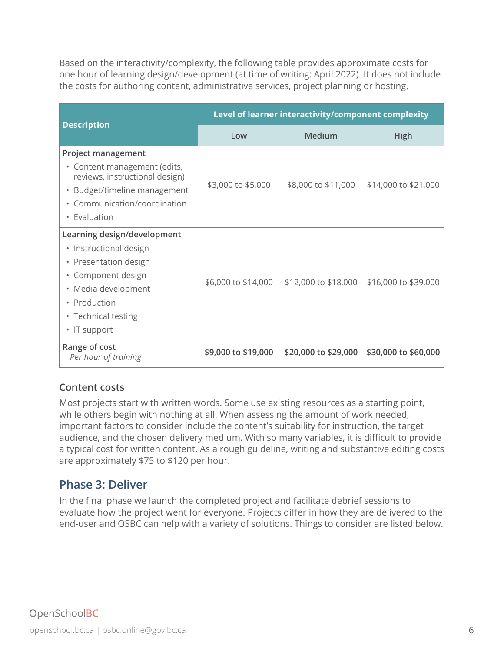Based on the interactivity/complexity, the following table provides approximate costs for one hour of learning design/development (at time of writing: April 2022). It does not include the costs for authoring content, administrative services, project planning or hosting.

| <b>Description</b>                                                                                                                                                                 | Level of learner interactivity/component complexity |                      |                      |  |
|------------------------------------------------------------------------------------------------------------------------------------------------------------------------------------|-----------------------------------------------------|----------------------|----------------------|--|
|                                                                                                                                                                                    | Low                                                 | Medium               | High                 |  |
| <b>Project management</b><br>• Content management (edits,<br>reviews, instructional design)<br>• Budget/timeline management<br>• Communication/coordination<br>• Evaluation        | \$3,000 to \$5,000                                  | \$8,000 to \$11,000  | \$14,000 to \$21,000 |  |
| Learning design/development<br>• Instructional design<br>• Presentation design<br>• Component design<br>• Media development<br>• Production<br>• Technical testing<br>• IT support | \$6,000 to \$14,000                                 | \$12,000 to \$18,000 | \$16,000 to \$39,000 |  |
| Range of cost<br>Per hour of training                                                                                                                                              | \$9,000 to \$19,000                                 | \$20,000 to \$29,000 | \$30,000 to \$60,000 |  |

#### **Content costs**

Most projects start with written words. Some use existing resources as a starting point, while others begin with nothing at all. When assessing the amount of work needed, important factors to consider include the content's suitability for instruction, the target audience, and the chosen delivery medium. With so many variables, it is difficult to provide a typical cost for written content. As a rough guideline, writing and substantive editing costs are approximately \$75 to \$120 per hour.

#### **Phase 3: Deliver**

In the final phase we launch the completed project and facilitate debrief sessions to evaluate how the project went for everyone. Projects differ in how they are delivered to the end-user and OSBC can help with a variety of solutions. Things to consider are listed below.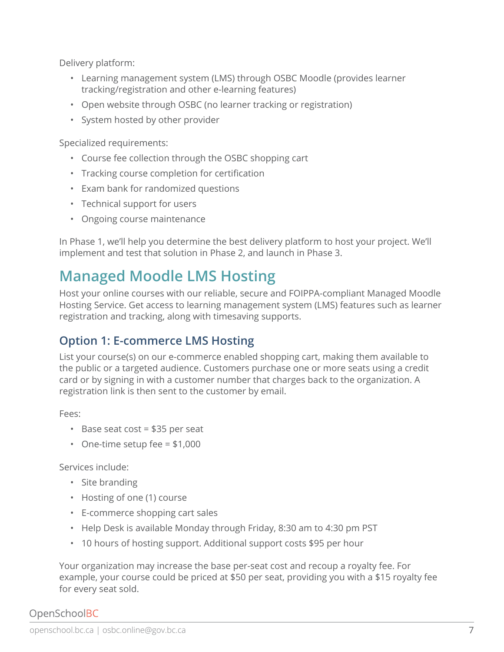Delivery platform:

- Learning management system (LMS) through OSBC Moodle (provides learner tracking/registration and other e-learning features)
- Open website through OSBC (no learner tracking or registration)
- System hosted by other provider

Specialized requirements:

- Course fee collection through the OSBC shopping cart
- Tracking course completion for certification
- Exam bank for randomized questions
- Technical support for users
- Ongoing course maintenance

In Phase 1, we'll help you determine the best delivery platform to host your project. We'll implement and test that solution in Phase 2, and launch in Phase 3.

# **Managed Moodle LMS Hosting**

Host your online courses with our reliable, secure and FOIPPA-compliant Managed Moodle Hosting Service. Get access to learning management system (LMS) features such as learner registration and tracking, along with timesaving supports.

## **Option 1: E-commerce LMS Hosting**

List your course(s) on our e-commerce enabled shopping cart, making them available to the public or a targeted audience. Customers purchase one or more seats using a credit card or by signing in with a customer number that charges back to the organization. A registration link is then sent to the customer by email.

Fees:

- Base seat cost = \$35 per seat
- One-time setup fee  $= $1,000$

Services include:

- Site branding
- Hosting of one (1) course
- E-commerce shopping cart sales
- Help Desk is available Monday through Friday, 8:30 am to 4:30 pm PST
- 10 hours of hosting support. Additional support costs \$95 per hour

Your organization may increase the base per-seat cost and recoup a royalty fee. For example, your course could be priced at \$50 per seat, providing you with a \$15 royalty fee for every seat sold.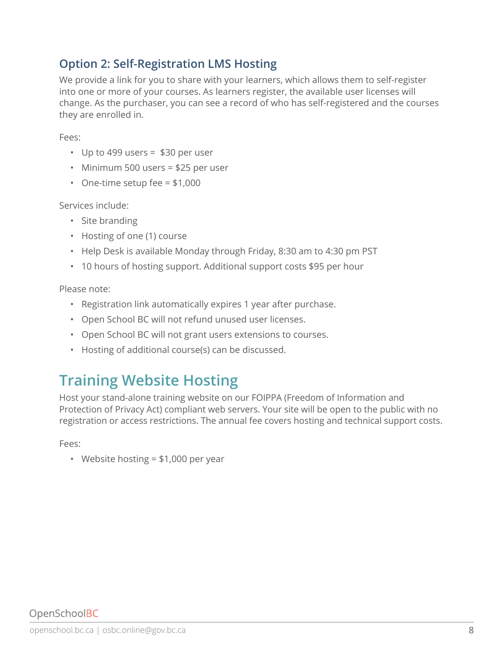## **Option 2: Self-Registration LMS Hosting**

We provide a link for you to share with your learners, which allows them to self-register into one or more of your courses. As learners register, the available user licenses will change. As the purchaser, you can see a record of who has self-registered and the courses they are enrolled in.

Fees:

- Up to 499 users = \$30 per user
- Minimum 500 users = \$25 per user
- One-time setup fee  $= $1,000$

Services include:

- Site branding
- Hosting of one (1) course
- Help Desk is available Monday through Friday, 8:30 am to 4:30 pm PST
- 10 hours of hosting support. Additional support costs \$95 per hour

Please note:

- Registration link automatically expires 1 year after purchase.
- Open School BC will not refund unused user licenses.
- Open School BC will not grant users extensions to courses.
- Hosting of additional course(s) can be discussed.

# **Training Website Hosting**

Host your stand-alone training website on our FOIPPA (Freedom of Information and Protection of Privacy Act) compliant web servers. Your site will be open to the public with no registration or access restrictions. The annual fee covers hosting and technical support costs.

Fees:

• Website hosting = \$1,000 per year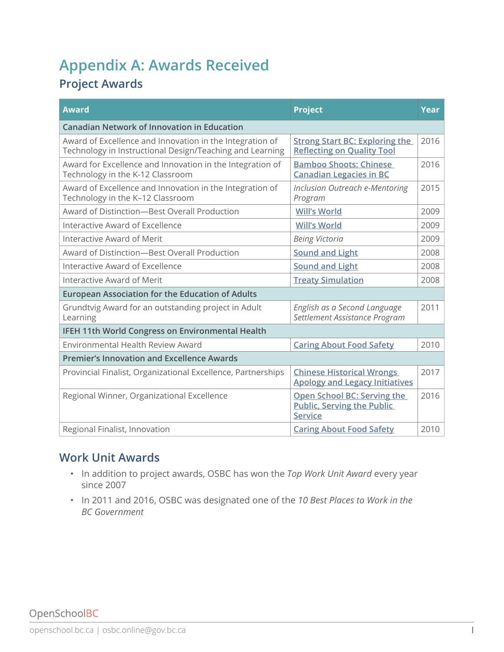# **Appendix A: Awards Received**

## **Project Awards**

| <b>Award</b>                                                                                                         | <b>Project</b>                                                                     | Year |
|----------------------------------------------------------------------------------------------------------------------|------------------------------------------------------------------------------------|------|
| <b>Canadian Network of Innovation in Education</b>                                                                   |                                                                                    |      |
| Award of Excellence and Innovation in the Integration of<br>Technology in Instructional Design/Teaching and Learning | <b>Strong Start BC: Exploring the</b><br><b>Reflecting on Quality Tool</b>         | 2016 |
| Award for Excellence and Innovation in the Integration of<br>Technology in the K-12 Classroom                        | <b>Bamboo Shoots: Chinese</b><br><b>Canadian Legacies in BC</b>                    | 2016 |
| Award of Excellence and Innovation in the Integration of<br>Technology in the K-12 Classroom                         | Inclusion Outreach e-Mentoring<br>Program                                          | 2015 |
| Award of Distinction-Best Overall Production                                                                         | <b>Will's World</b>                                                                | 2009 |
| Interactive Award of Excellence                                                                                      | <b>Will's World</b>                                                                | 2009 |
| Interactive Award of Merit                                                                                           | <b>Being Victoria</b>                                                              | 2009 |
| Award of Distinction-Best Overall Production                                                                         | <b>Sound and Light</b>                                                             | 2008 |
| Interactive Award of Excellence                                                                                      | <b>Sound and Light</b>                                                             | 2008 |
| Interactive Award of Merit                                                                                           | <b>Treaty Simulation</b>                                                           | 2008 |
| <b>European Association for the Education of Adults</b>                                                              |                                                                                    |      |
| Grundtvig Award for an outstanding project in Adult<br>Learning                                                      | English as a Second Language<br>Settlement Assistance Program                      | 2011 |
| IFEH 11th World Congress on Environmental Health                                                                     |                                                                                    |      |
| Environmental Health Review Award                                                                                    | <b>Caring About Food Safety</b>                                                    | 2010 |
| <b>Premier's Innovation and Excellence Awards</b>                                                                    |                                                                                    |      |
| Provincial Finalist, Organizational Excellence, Partnerships                                                         | <b>Chinese Historical Wrongs</b><br><b>Apology and Legacy Initiatives</b>          | 2017 |
| Regional Winner, Organizational Excellence                                                                           | Open School BC: Serving the<br><b>Public, Serving the Public</b><br><b>Service</b> | 2016 |
| Regional Finalist, Innovation                                                                                        | <b>Caring About Food Safety</b>                                                    | 2010 |

### **Work Unit Awards**

- In addition to project awards, OSBC has won the *Top Work Unit Award* every year since 2007
- In 2011 and 2016, OSBC was designated one of the *10 Best Places to Work in the BC Government*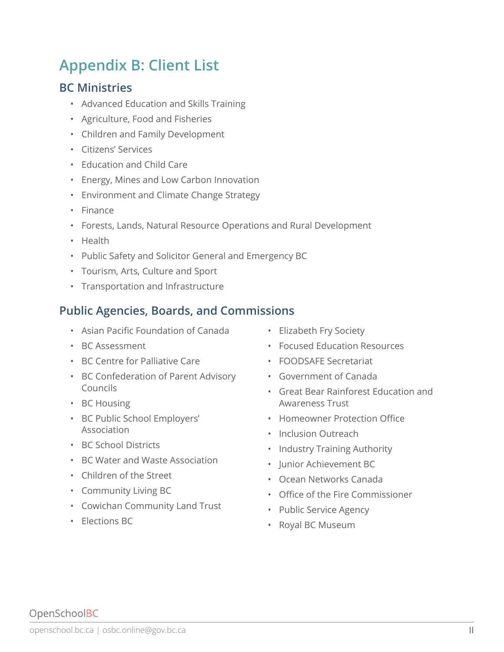# **Appendix B: Client List**

#### **BC Ministries**

- Advanced Education and Skills Training
- Agriculture, Food and Fisheries
- Children and Family Development
- Citizens' Services
- Education and Child Care
- Energy, Mines and Low Carbon Innovation
- Environment and Climate Change Strategy
- Finance
- Forests, Lands, Natural Resource Operations and Rural Development
- Health
- Public Safety and Solicitor General and Emergency BC
- Tourism, Arts, Culture and Sport
- Transportation and Infrastructure

#### **Public Agencies, Boards, and Commissions**

- Asian Pacific Foundation of Canada
- BC Assessment
- BC Centre for Palliative Care
- BC Confederation of Parent Advisory Councils
- BC Housing
- BC Public School Employers' Association
- BC School Districts
- BC Water and Waste Association
- Children of the Street
- Community Living BC
- Cowichan Community Land Trust
- Elections BC
- Elizabeth Fry Society
- Focused Education Resources
- FOODSAFE Secretariat
- Government of Canada
- Great Bear Rainforest Education and Awareness Trust
- Homeowner Protection Office
- Inclusion Outreach
- Industry Training Authority
- Junior Achievement BC
- Ocean Networks Canada
- Office of the Fire Commissioner
- Public Service Agency
- Royal BC Museum